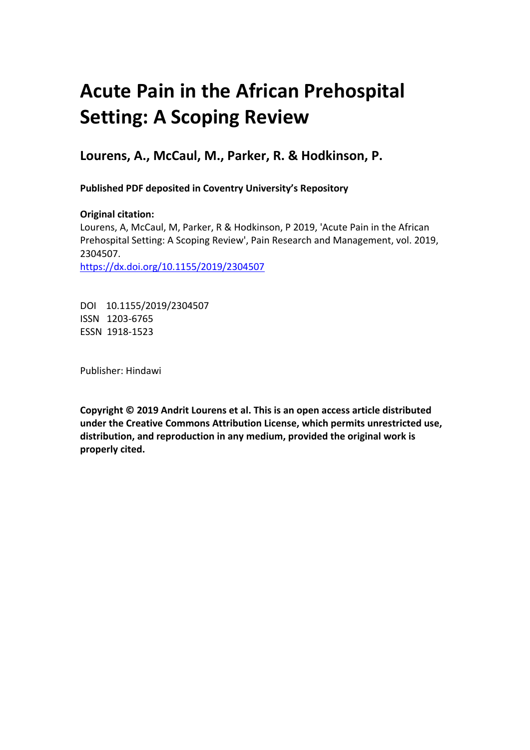# **Acute Pain in the African Prehospital Setting: A Scoping Review**

**Lourens, A., McCaul, M., Parker, R. & Hodkinson, P.**

**Published PDF deposited in Coventry University's Repository** 

**Original citation:**  Lourens, A, McCaul, M, Parker, R & Hodkinson, P 2019, 'Acute Pain in the African Prehospital Setting: A Scoping Review', Pain Research and Management, vol. 2019, 2304507. https://dx.doi.org/10.1155/2019/2304507

DOI 10.1155/2019/2304507 ISSN 1203-6765 ESSN 1918-1523

Publisher: Hindawi

**Copyright © 2019 Andrit Lourens et al. This is an open access article distributed under the Creative Commons Attribution License, which permits unrestricted use, distribution, and reproduction in any medium, provided the original work is properly cited.**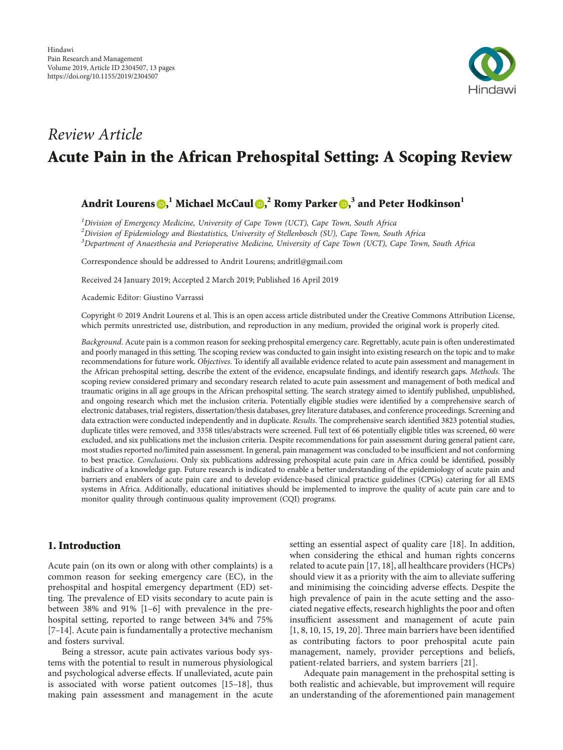

## *Review Article* **Acute Pain in the African Prehospital Setting: A Scoping Review**

### **Andrit Lourens , <sup>1</sup> Michael McCaul , <sup>2</sup> Romy Parker [,](http://orcid.org/0000-0003-4823-2487) <sup>3</sup> and Peter Hodkinson<sup>1</sup>**

*1 Division of Emergency Medicine, University of Cape Town (UCT), Cape Town, South Africa 2 Division of Epidemiology and Biostatistics, University of Stellenbosch (SU), Cape Town, South Africa 3 Department of Anaesthesia and Perioperative Medicine, University of Cape Town (UCT), Cape Town, South Africa*

Correspondence should be addressed to Andrit Lourens; [andritl@gmail.com](mailto:andritl@gmail.com)

Received 24 January 2019; Accepted 2 March 2019; Published 16 April 2019

Academic Editor: Giustino Varrassi

Copyright © 2019 Andrit Lourens et al. This is an open access article distributed under the [Creative Commons Attribution License](https://creativecommons.org/licenses/by/4.0/), which permits unrestricted use, distribution, and reproduction in any medium, provided the original work is properly cited.

*Background*. Acute pain is a common reason for seeking prehospital emergency care. Regrettably, acute pain is often underestimated and poorly managed in this setting. The scoping review was conducted to gain insight into existing research on the topic and to make recommendations for future work. *Objectives*. To identify all available evidence related to acute pain assessment and management in the African prehospital setting, describe the extent of the evidence, encapsulate findings, and identify research gaps. Methods. The scoping review considered primary and secondary research related to acute pain assessment and management of both medical and traumatic origins in all age groups in the African prehospital setting. The search strategy aimed to identify published, unpublished, and ongoing research which met the inclusion criteria. Potentially eligible studies were identified by a comprehensive search of electronic databases, trial registers, dissertation/thesis databases, grey literature databases, and conference proceedings. Screening and data extraction were conducted independently and in duplicate. *Results*. The comprehensive search identified 3823 potential studies, duplicate titles were removed, and 3358 titles/abstracts were screened. Full text of 66 potentially eligible titles was screened, 60 were excluded, and six publications met the inclusion criteria. Despite recommendations for pain assessment during general patient care, most studies reported no/limited pain assessment. In general, pain management was concluded to be insufficient and not conforming to best practice. *Conclusions*. Only six publications addressing prehospital acute pain care in Africa could be identified, possibly indicative of a knowledge gap. Future research is indicated to enable a better understanding of the epidemiology of acute pain and barriers and enablers of acute pain care and to develop evidence-based clinical practice guidelines (CPGs) catering for all EMS systems in Africa. Additionally, educational initiatives should be implemented to improve the quality of acute pain care and to monitor quality through continuous quality improvement (CQI) programs.

#### **1. Introduction**

Acute pain (on its own or along with other complaints) is a common reason for seeking emergency care (EC), in the prehospital and hospital emergency department (ED) setting. The prevalence of ED visits secondary to acute pain is between 38% and 91% [[1–6\]](#page-11-0) with prevalence in the prehospital setting, reported to range between 34% and 75% [\[7–14](#page-11-0)]. Acute pain is fundamentally a protective mechanism and fosters survival.

Being a stressor, acute pain activates various body systems with the potential to result in numerous physiological and psychological adverse effects. If unalleviated, acute pain is associated with worse patient outcomes [[15–18\]](#page-11-0), thus making pain assessment and management in the acute

setting an essential aspect of quality care [[18\]](#page-11-0). In addition, when considering the ethical and human rights concerns related to acute pain [\[17](#page-11-0), [18\]](#page-11-0), all healthcare providers (HCPs) should view it as a priority with the aim to alleviate suffering and minimising the coinciding adverse effects. Despite the high prevalence of pain in the acute setting and the associated negative effects, research highlights the poor and often insufficient assessment and management of acute pain  $[1, 8, 10, 15, 19, 20]$  $[1, 8, 10, 15, 19, 20]$  $[1, 8, 10, 15, 19, 20]$  $[1, 8, 10, 15, 19, 20]$  $[1, 8, 10, 15, 19, 20]$  $[1, 8, 10, 15, 19, 20]$ . Three main barriers have been identified as contributing factors to poor prehospital acute pain management, namely, provider perceptions and beliefs, patient-related barriers, and system barriers [[21\]](#page-11-0).

Adequate pain management in the prehospital setting is both realistic and achievable, but improvement will require an understanding of the aforementioned pain management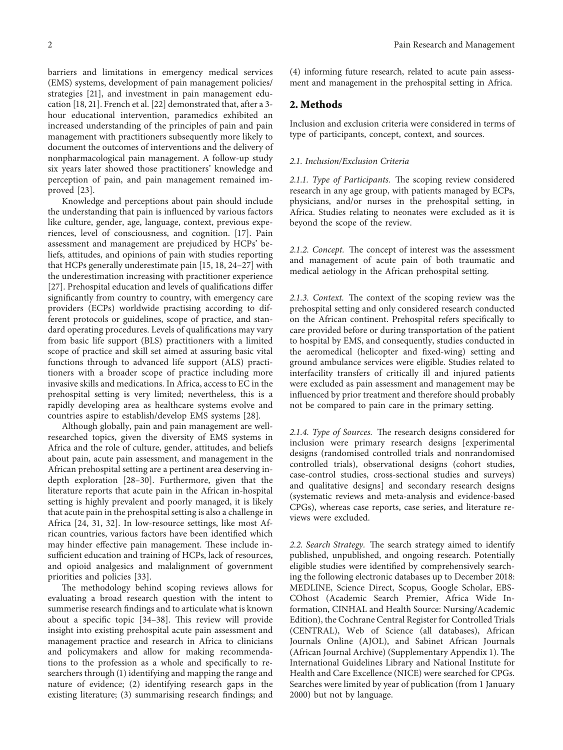barriers and limitations in emergency medical services (EMS) systems, development of pain management policies/ strategies [[21\]](#page-11-0), and investment in pain management education [\[18](#page-11-0), [21](#page-11-0)]. French et al. [\[22\]](#page-11-0) demonstrated that, after a 3 hour educational intervention, paramedics exhibited an increased understanding of the principles of pain and pain management with practitioners subsequently more likely to document the outcomes of interventions and the delivery of nonpharmacological pain management. A follow-up study six years later showed those practitioners' knowledge and

perception of pain, and pain management remained im-

proved [[23](#page-12-0)]. Knowledge and perceptions about pain should include the understanding that pain is influenced by various factors like culture, gender, age, language, context, previous experiences, level of consciousness, and cognition. [\[17\]](#page-11-0). Pain assessment and management are prejudiced by HCPs' beliefs, attitudes, and opinions of pain with studies reporting that HCPs generally underestimate pain [[15, 18,](#page-11-0) [24–27\]](#page-12-0) with the underestimation increasing with practitioner experience [\[27\]](#page-12-0). Prehospital education and levels of qualifications differ significantly from country to country, with emergency care providers (ECPs) worldwide practising according to different protocols or guidelines, scope of practice, and standard operating procedures. Levels of qualifications may vary from basic life support (BLS) practitioners with a limited scope of practice and skill set aimed at assuring basic vital functions through to advanced life support (ALS) practitioners with a broader scope of practice including more invasive skills and medications. In Africa, access to EC in the prehospital setting is very limited; nevertheless, this is a rapidly developing area as healthcare systems evolve and countries aspire to establish/develop EMS systems [[28](#page-12-0)].

Although globally, pain and pain management are wellresearched topics, given the diversity of EMS systems in Africa and the role of culture, gender, attitudes, and beliefs about pain, acute pain assessment, and management in the African prehospital setting are a pertinent area deserving indepth exploration [[28–30](#page-12-0)]. Furthermore, given that the literature reports that acute pain in the African in-hospital setting is highly prevalent and poorly managed, it is likely that acute pain in the prehospital setting is also a challenge in Africa [[24](#page-12-0), [31](#page-12-0), [32\]](#page-12-0). In low-resource settings, like most African countries, various factors have been identified which may hinder effective pain management. These include insufficient education and training of HCPs, lack of resources, and opioid analgesics and malalignment of government priorities and policies [\[33\]](#page-12-0).

The methodology behind scoping reviews allows for evaluating a broad research question with the intent to summerise research findings and to articulate what is known about a specific topic  $[34-38]$  $[34-38]$  $[34-38]$  $[34-38]$  $[34-38]$ . This review will provide insight into existing prehospital acute pain assessment and management practice and research in Africa to clinicians and policymakers and allow for making recommendations to the profession as a whole and specifically to researchers through (1) identifying and mapping the range and nature of evidence; (2) identifying research gaps in the existing literature; (3) summarising research findings; and (4) informing future research, related to acute pain assessment and management in the prehospital setting in Africa.

#### **2. Methods**

Inclusion and exclusion criteria were considered in terms of type of participants, concept, context, and sources.

#### *2.1. Inclusion/Exclusion Criteria*

2.1.1. Type of Participants. The scoping review considered research in any age group, with patients managed by ECPs, physicians, and/or nurses in the prehospital setting, in Africa. Studies relating to neonates were excluded as it is beyond the scope of the review.

*2.1.2. Concept.* The concept of interest was the assessment and management of acute pain of both traumatic and medical aetiology in the African prehospital setting.

2.1.3. Context. The context of the scoping review was the prehospital setting and only considered research conducted on the African continent. Prehospital refers specifically to care provided before or during transportation of the patient to hospital by EMS, and consequently, studies conducted in the aeromedical (helicopter and fixed-wing) setting and ground ambulance services were eligible. Studies related to interfacility transfers of critically ill and injured patients were excluded as pain assessment and management may be influenced by prior treatment and therefore should probably not be compared to pain care in the primary setting.

2.1.4. Type of Sources. The research designs considered for inclusion were primary research designs [experimental designs (randomised controlled trials and nonrandomised controlled trials), observational designs (cohort studies, case-control studies, cross-sectional studies and surveys) and qualitative designs] and secondary research designs (systematic reviews and meta-analysis and evidence-based CPGs), whereas case reports, case series, and literature reviews were excluded.

2.2. Search Strategy. The search strategy aimed to identify published, unpublished, and ongoing research. Potentially eligible studies were identified by comprehensively searching the following electronic databases up to December 2018: MEDLINE, Science Direct, Scopus, Google Scholar, EBS-COhost (Academic Search Premier, Africa Wide Information, CINHAL and Health Source: Nursing/Academic Edition), the Cochrane Central Register for Controlled Trials (CENTRAL), Web of Science (all databases), African Journals Online (AJOL), and Sabinet African Journals (African Journal Archive) (Supplementary Appendix [1](#page-11-0)). The International Guidelines Library and National Institute for Health and Care Excellence (NICE) were searched for CPGs. Searches were limited by year of publication (from 1 January 2000) but not by language.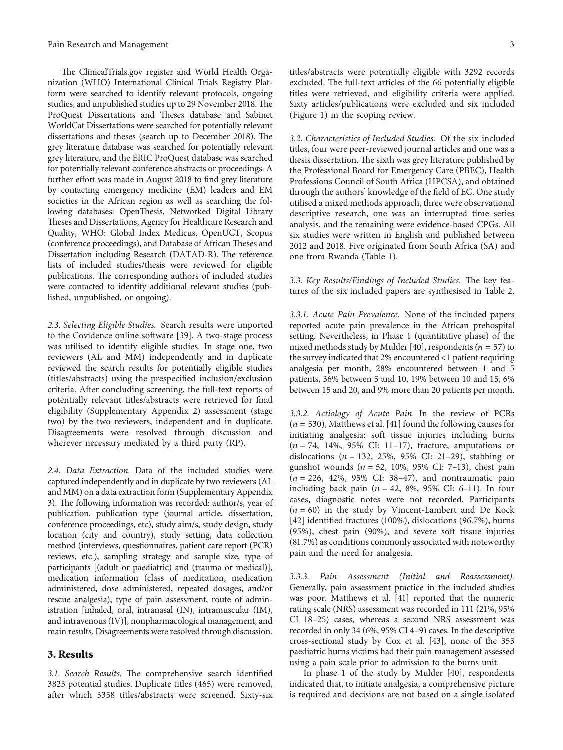The ClinicalTrials.gov register and World Health Organization (WHO) International Clinical Trials Registry Platform were searched to identify relevant protocols, ongoing studies, and unpublished studies up to 29 November 2018. The ProQuest Dissertations and Theses database and Sabinet WorldCat Dissertations were searched for potentially relevant dissertations and theses (search up to December 2018). The grey literature database was searched for potentially relevant grey literature, and the ERIC ProQuest database was searched for potentially relevant conference abstracts or proceedings. A further effort was made in August 2018 to find grey literature by contacting emergency medicine (EM) leaders and EM societies in the African region as well as searching the following databases: OpenThesis, Networked Digital Library Theses and Dissertations, Agency for Healthcare Research and Quality, WHO: Global Index Medicus, OpenUCT, Scopus (conference proceedings), and Database of African Theses and Dissertation including Research (DATAD-R). The reference lists of included studies/thesis were reviewed for eligible publications. The corresponding authors of included studies were contacted to identify additional relevant studies (published, unpublished, or ongoing).

*2.3. Selecting Eligible Studies.* Search results were imported to the Covidence online software [[39](#page-12-0)]. A two-stage process was utilised to identify eligible studies. In stage one, two reviewers (AL and MM) independently and in duplicate reviewed the search results for potentially eligible studies (titles/abstracts) using the prespecified inclusion/exclusion criteria. After concluding screening, the full-text reports of potentially relevant titles/abstracts were retrieved for final eligibility (Supplementary Appendix [2\)](#page-11-0) assessment (stage two) by the two reviewers, independent and in duplicate. Disagreements were resolved through discussion and wherever necessary mediated by a third party (RP).

*2.4. Data Extraction.* Data of the included studies were captured independently and in duplicate by two reviewers (AL and MM) on a data extraction form (Supplementary Appendix [3\)](#page-11-0). The following information was recorded: author/s, year of publication, publication type (journal article, dissertation, conference proceedings, etc), study aim/s, study design, study location (city and country), study setting, data collection method (interviews, questionnaires, patient care report (PCR) reviews, etc.), sampling strategy and sample size, type of participants [(adult or paediatric) and (trauma or medical)], medication information (class of medication, medication administered, dose administered, repeated dosages, and/or rescue analgesia), type of pain assessment, route of administration [inhaled, oral, intranasal (IN), intramuscular (IM), and intravenous (IV)], nonpharmacological management, and main results. Disagreements were resolved through discussion.

#### **3. Results**

3.1. Search Results. The comprehensive search identified 3823 potential studies. Duplicate titles (465) were removed, after which 3358 titles/abstracts were screened. Sixty-six titles/abstracts were potentially eligible with 3292 records excluded. The full-text articles of the 66 potentially eligible titles were retrieved, and eligibility criteria were applied. Sixty articles/publications were excluded and six included (Figure [1](#page-4-0)) in the scoping review.

*3.2. Characteristics of Included Studies.* Of the six included titles, four were peer-reviewed journal articles and one was a thesis dissertation. The sixth was grey literature published by the Professional Board for Emergency Care (PBEC), Health Professions Council of South Africa (HPCSA), and obtained through the authors' knowledge of the field of EC. One study utilised a mixed methods approach, three were observational descriptive research, one was an interrupted time series analysis, and the remaining were evidence-based CPGs. All six studies were written in English and published between 2012 and 2018. Five originated from South Africa (SA) and one from Rwanda (Table [1](#page-5-0)).

3.3. Key Results/Findings of Included Studies. The key features of the six included papers are synthesised in Table [2.](#page-6-0)

*3.3.1. Acute Pain Prevalence.* None of the included papers reported acute pain prevalence in the African prehospital setting. Nevertheless, in Phase 1 (quantitative phase) of the mixed methods study by Mulder [\[40\]](#page-12-0), respondents ( $n = 57$ ) to the survey indicated that 2% encountered <1 patient requiring analgesia per month, 28% encountered between 1 and 5 patients, 36% between 5 and 10, 19% between 10 and 15, 6% between 15 and 20, and 9% more than 20 patients per month.

*3.3.2. Aetiology of Acute Pain.* In the review of PCRs  $(n = 530)$ , Matthews et al. [[41\]](#page-12-0) found the following causes for initiating analgesia: soft tissue injuries including burns (*n* � 74, 14%, 95% CI: 11–17), fracture, amputations or dislocations ( $n = 132, 25\%$ , 95% CI: 21-29), stabbing or gunshot wounds (*n* � 52, 10%, 95% CI: 7–13), chest pain  $(n = 226, 42\%, 95\% \text{ CI: } 38-47)$ , and nontraumatic pain including back pain ( $n = 42$ , 8%, 95% CI: 6-11). In four cases, diagnostic notes were not recorded. Participants  $(n = 60)$  in the study by Vincent-Lambert and De Kock [\[42\]](#page-12-0) identified fractures (100%), dislocations (96.7%), burns (95%), chest pain (90%), and severe soft tissue injuries (81.7%) as conditions commonly associated with noteworthy pain and the need for analgesia.

*3.3.3. Pain Assessment (Initial and Reassessment).* Generally, pain assessment practice in the included studies was poor. Matthews et al. [[41](#page-12-0)] reported that the numeric rating scale (NRS) assessment was recorded in 111 (21%, 95% CI 18–25) cases, whereas a second NRS assessment was recorded in only 34 (6%, 95% CI 4–9) cases. In the descriptive cross-sectional study by Cox et al. [\[43\]](#page-12-0), none of the 353 paediatric burns victims had their pain management assessed using a pain scale prior to admission to the burns unit.

In phase 1 of the study by Mulder [\[40](#page-12-0)], respondents indicated that, to initiate analgesia, a comprehensive picture is required and decisions are not based on a single isolated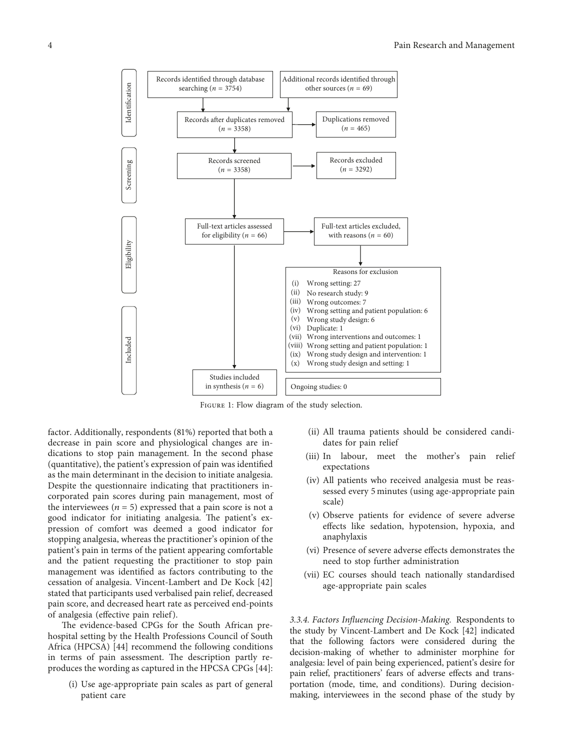<span id="page-4-0"></span>

Figure 1: Flow diagram of the study selection.

factor. Additionally, respondents (81%) reported that both a decrease in pain score and physiological changes are indications to stop pain management. In the second phase (quantitative), the patient's expression of pain was identified as the main determinant in the decision to initiate analgesia. Despite the questionnaire indicating that practitioners incorporated pain scores during pain management, most of the interviewees  $(n = 5)$  expressed that a pain score is not a good indicator for initiating analgesia. The patient's expression of comfort was deemed a good indicator for stopping analgesia, whereas the practitioner's opinion of the patient's pain in terms of the patient appearing comfortable and the patient requesting the practitioner to stop pain management was identified as factors contributing to the cessation of analgesia. Vincent-Lambert and De Kock [\[42\]](#page-12-0) stated that participants used verbalised pain relief, decreased pain score, and decreased heart rate as perceived end-points of analgesia (effective pain relief ).

The evidence-based CPGs for the South African prehospital setting by the Health Professions Council of South Africa (HPCSA) [[44](#page-12-0)] recommend the following conditions in terms of pain assessment. The description partly reproduces the wording as captured in the HPCSA CPGs [[44](#page-12-0)]:

(i) Use age-appropriate pain scales as part of general patient care

- (ii) All trauma patients should be considered candidates for pain relief
- (iii) In labour, meet the mother's pain relief expectations
- (iv) All patients who received analgesia must be reassessed every 5 minutes (using age-appropriate pain scale)
- (v) Observe patients for evidence of severe adverse effects like sedation, hypotension, hypoxia, and anaphylaxis
- (vi) Presence of severe adverse effects demonstrates the need to stop further administration
- (vii) EC courses should teach nationally standardised age-appropriate pain scales

*3.3.4. Factors Influencing Decision-Making.* Respondents to the study by Vincent-Lambert and De Kock [\[42\]](#page-12-0) indicated that the following factors were considered during the decision-making of whether to administer morphine for analgesia: level of pain being experienced, patient's desire for pain relief, practitioners' fears of adverse effects and transportation (mode, time, and conditions). During decisionmaking, interviewees in the second phase of the study by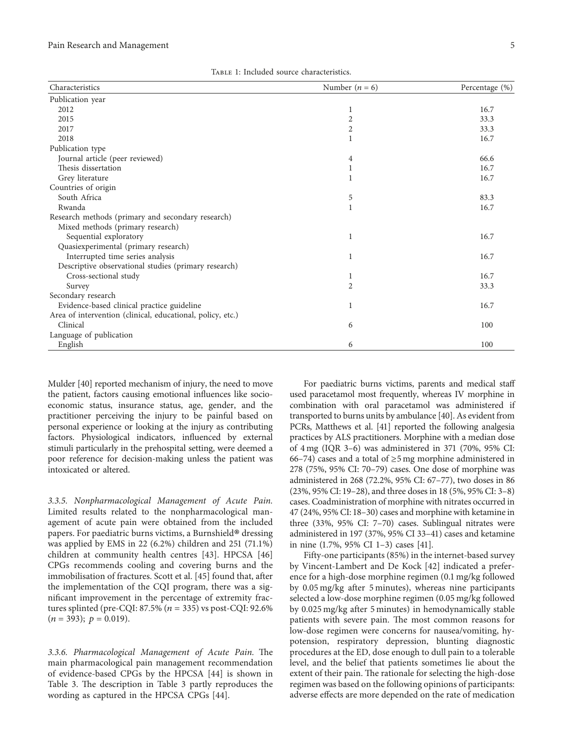| TABLE 1: Included source characteristics. |  |
|-------------------------------------------|--|
|-------------------------------------------|--|

<span id="page-5-0"></span>

| Characteristics                                            | Number $(n = 6)$ | Percentage (%) |
|------------------------------------------------------------|------------------|----------------|
| Publication year                                           |                  |                |
| 2012                                                       | 1                | 16.7           |
| 2015                                                       | 2                | 33.3           |
| 2017                                                       | 2                | 33.3           |
| 2018                                                       | 1                | 16.7           |
| Publication type                                           |                  |                |
| Journal article (peer reviewed)                            | 4                | 66.6           |
| Thesis dissertation                                        | 1                | 16.7           |
| Grey literature                                            | 1                | 16.7           |
| Countries of origin                                        |                  |                |
| South Africa                                               | 5                | 83.3           |
| Rwanda                                                     | $\mathbf 1$      | 16.7           |
| Research methods (primary and secondary research)          |                  |                |
| Mixed methods (primary research)                           |                  |                |
| Sequential exploratory                                     | 1                | 16.7           |
| Quasiexperimental (primary research)                       |                  |                |
| Interrupted time series analysis                           | 1                | 16.7           |
| Descriptive observational studies (primary research)       |                  |                |
| Cross-sectional study                                      | 1                | 16.7           |
| Survey                                                     | $\overline{2}$   | 33.3           |
| Secondary research                                         |                  |                |
| Evidence-based clinical practice guideline                 | 1                | 16.7           |
| Area of intervention (clinical, educational, policy, etc.) |                  |                |
| Clinical                                                   | 6                | 100            |
| Language of publication                                    |                  |                |
| English                                                    | 6                | 100            |

Mulder [\[40](#page-12-0)] reported mechanism of injury, the need to move the patient, factors causing emotional influences like socioeconomic status, insurance status, age, gender, and the practitioner perceiving the injury to be painful based on personal experience or looking at the injury as contributing factors. Physiological indicators, influenced by external stimuli particularly in the prehospital setting, were deemed a poor reference for decision-making unless the patient was intoxicated or altered.

*3.3.5. Nonpharmacological Management of Acute Pain.* Limited results related to the nonpharmacological management of acute pain were obtained from the included papers. For paediatric burns victims, a Burnshield® dressing was applied by EMS in 22 (6.2%) children and 251 (71.1%) children at community health centres [\[43](#page-12-0)]. HPCSA [\[46\]](#page-12-0) CPGs recommends cooling and covering burns and the immobilisation of fractures. Scott et al. [[45\]](#page-12-0) found that, after the implementation of the CQI program, there was a significant improvement in the percentage of extremity fractures splinted (pre-CQI:  $87.5\%$  ( $n = 335$ ) vs post-CQI:  $92.6\%$  $(n = 393); p = 0.019$ .

3.3.6. Pharmacological Management of Acute Pain. The main pharmacological pain management recommendation of evidence-based CPGs by the HPCSA [[44](#page-12-0)] is shown in Table [3](#page-8-0). The description in Table 3 partly reproduces the wording as captured in the HPCSA CPGs [[44](#page-12-0)].

For paediatric burns victims, parents and medical staff used paracetamol most frequently, whereas IV morphine in combination with oral paracetamol was administered if transported to burns units by ambulance [\[40\]](#page-12-0). As evident from PCRs, Matthews et al. [[41\]](#page-12-0) reported the following analgesia practices by ALS practitioners. Morphine with a median dose of 4 mg (IQR 3–6) was administered in 371 (70%, 95% CI: 66–74) cases and a total of ≥5 mg morphine administered in 278 (75%, 95% CI: 70–79) cases. One dose of morphine was administered in 268 (72.2%, 95% CI: 67–77), two doses in 86 (23%, 95% CI: 19–28), and three doses in 18 (5%, 95% CI: 3–8) cases. Coadministration of morphine with nitrates occurred in 47 (24%, 95% CI: 18–30) cases and morphine with ketamine in three (33%, 95% CI: 7–70) cases. Sublingual nitrates were administered in 197 (37%, 95% CI 33–41) cases and ketamine in nine (1.7%, 95% CI 1–3) cases [\[41\]](#page-12-0).

Fifty-one participants (85%) in the internet-based survey by Vincent-Lambert and De Kock [[42](#page-12-0)] indicated a preference for a high-dose morphine regimen (0.1 mg/kg followed by 0.05 mg/kg after 5 minutes), whereas nine participants selected a low-dose morphine regimen (0.05 mg/kg followed by 0.025 mg/kg after 5 minutes) in hemodynamically stable patients with severe pain. The most common reasons for low-dose regimen were concerns for nausea/vomiting, hypotension, respiratory depression, blunting diagnostic procedures at the ED, dose enough to dull pain to a tolerable level, and the belief that patients sometimes lie about the extent of their pain. The rationale for selecting the high-dose regimen was based on the following opinions of participants: adverse effects are more depended on the rate of medication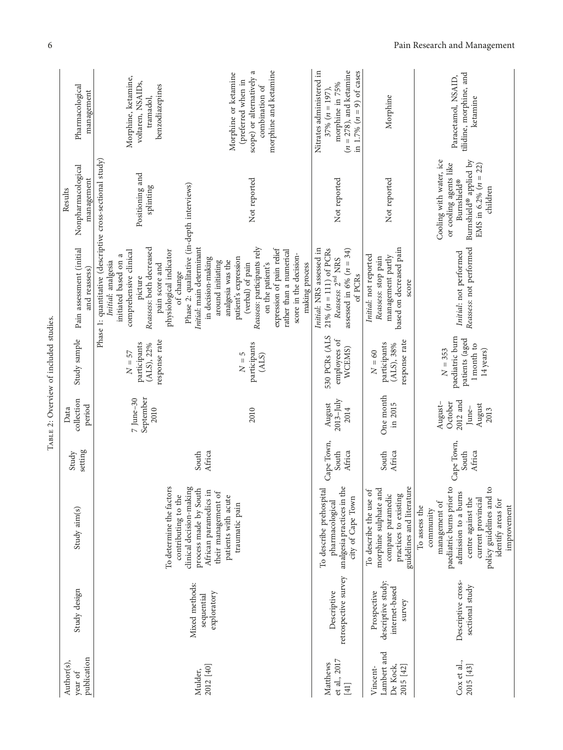| publication<br>Author(s),<br>year of             | Study design                                                  | Study aim(s)                                                                                                                                                                                                  | setting<br>Study              | collection<br>period<br>Data                              | Study sample                                                            | Pain assessment (initial<br>and reassess)                                                                                                                                                                                                                                                   | Nonpharmacological<br>management<br>Results                                                                                      | Pharmacological<br>management                                                                                                |
|--------------------------------------------------|---------------------------------------------------------------|---------------------------------------------------------------------------------------------------------------------------------------------------------------------------------------------------------------|-------------------------------|-----------------------------------------------------------|-------------------------------------------------------------------------|---------------------------------------------------------------------------------------------------------------------------------------------------------------------------------------------------------------------------------------------------------------------------------------------|----------------------------------------------------------------------------------------------------------------------------------|------------------------------------------------------------------------------------------------------------------------------|
| 2012 [40]<br>Mulder,                             | Mixed methods:<br>exploratory<br>sequential                   | To determine the factors<br>clinical decision-making<br>process made by South<br>African paramedics in<br>their management of<br>contributing to the                                                          | Africa<br>South               | September<br>$7$ June $-30$<br>2010                       | response rate<br>participants<br>(ALS), 22%<br>$N=57$                   | Phase 2: qualitative (in-depth interviews)<br>Initial: main determinant<br>Reassess: both decreased<br>physiological indicator<br>comprehensive clinical<br>initiated based on a<br>in decision-making<br>Initial: analgesia<br>around initiating<br>pain score and<br>of change<br>picture | Phase 1: quantitative (descriptive cross-sectional study)<br>Positioning and<br>splinting                                        | Morphine, ketamine,<br>voltaren, NSAIDs,<br>benzodiazepines<br>tramadol,                                                     |
|                                                  |                                                               | patients with acute<br>traumatic pain                                                                                                                                                                         |                               | 2010                                                      | participants<br>$N=5$<br>(ALS)                                          | Reassess: participants rely<br>expression of pain relief<br>rather than a numerical<br>score in the decision-<br>patient's expression<br>analgesia was the<br>on the patient's<br>(verbal) of pain<br>making process                                                                        | Not reported                                                                                                                     | ದ<br>morphine and ketamine<br>Morphine or ketamine<br>scope) or alternatively<br>(preferred when in<br>combination of        |
| et al., 2017<br>Matthews<br>$[41]$               | retrospective survey<br>Descriptive                           | To describe prehospital<br>analgesia practices in the<br>city of Cape Town<br>pharmacological                                                                                                                 | Cape Town,<br>South<br>Africa | $2013 - July$<br>August<br>2014                           | 530 PCRs (ALS<br>employees of<br>WCEMS)                                 | Initial: NRS assessed in<br>$21\% (n = 111)$ of PCRs<br>assessed in 6% $(n = 34)$<br>Reassess: $2^{\rm nd}$ NRS<br>of PCRs                                                                                                                                                                  | Not reported                                                                                                                     | Nitrates administered in<br>$(n = 278)$ , and ketamine<br>in 1.7% $(n = 9)$ of cases<br>morphine in 75%<br>$37\% (n = 197),$ |
| Lambert and<br>De Kock,<br>2015 [42]<br>Vincent- | descriptive study:<br>internet-based<br>Prospective<br>survey | guidelines and literature<br>morphine sulphate and<br>To describe the use of<br>compare paramedic<br>practices to existing                                                                                    | South<br>Africa               | One month<br>in 2015                                      | response rate<br>participants<br>$(ALS)$ , 38%<br>${\cal N}=60$         | based on decreased pain<br>Initial: not reported<br>management partly<br>Reassess: stop pain<br>score                                                                                                                                                                                       | Not reported                                                                                                                     | Morphine                                                                                                                     |
| Cox et al.,<br>2015 [43]                         | Descriptive cross-<br>sectional study                         | paediatric burns prior to<br>policy guidelines and to<br>admission to a burns<br>centre against the<br>current provincial<br>identify areas for<br>management of<br>improvement<br>To assess the<br>community | Cape Town,<br>South<br>Africa | 2012 and<br>August-<br>October<br>August<br>June-<br>2013 | paediatric burn<br>patients (aged<br>1 month to<br>$N=353$<br>14 years) | Reassess: not performed<br>Initial: not performed                                                                                                                                                                                                                                           | Cooling with water, ice<br>Burnshield® applied by<br>or cooling agents like<br>EMS in 6.2% $(n = 22)$<br>Burnshield®<br>children | tilidine, morphine, and<br>Paracetamol, NSAID,<br>ketamine                                                                   |

TABLE 2: Overview of included studies. TABLE 2: Overview of included studies.

<span id="page-6-0"></span>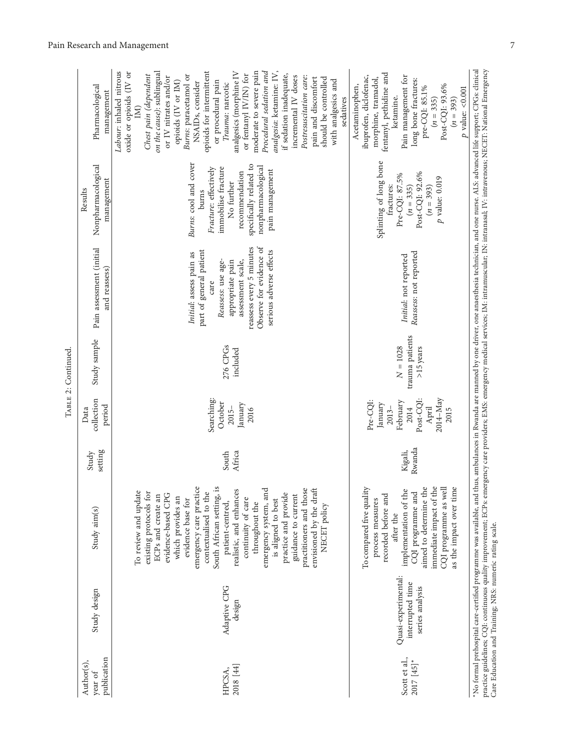|                    | Pharmacological<br>management               | analgesia: ketamine: IV,<br>Labour: inhaled nitrous<br>opioids for intermittent<br>analgesics (morphine IV<br>moderate to severe pain<br>Procedural sedation and<br>oxide or opioids (IV or<br>on the cause): sublingual<br>or fentanyl IV/IN) for<br>Burns: paracetamol or<br>if sedation inadequate,<br>Chest pain (dependent<br>incremental IV doses<br>Postresuscitation care:<br>or IV nitrates and/or<br>should be controlled<br>pain and discomfort<br>with analgesics and<br>opioids (IV or IM)<br>or procedural pain<br>NSAIDs, consider<br>Trauma: narcotic<br>sedatives<br>IM) | fentanyl, pethidine and<br>ibuprofen, diclofenac,<br>Pain management for<br>morphine, tramadol,<br>long bone fractures:<br>Acetaminophen,<br>Post-CQI: 93.6%<br>pre-CQI: 85.1%<br>$p$ value: < $0.001$<br>ketamine.<br>$(n = 335)$<br>$(n = 393)$ |  |
|--------------------|---------------------------------------------|-------------------------------------------------------------------------------------------------------------------------------------------------------------------------------------------------------------------------------------------------------------------------------------------------------------------------------------------------------------------------------------------------------------------------------------------------------------------------------------------------------------------------------------------------------------------------------------------|---------------------------------------------------------------------------------------------------------------------------------------------------------------------------------------------------------------------------------------------------|--|
|                    | Nonpharmacological<br>management<br>Results | Burns: cool and cover<br>specifically related to<br>nonpharmacological<br>Fracture: effectively<br>immobilise fracture<br>pain management<br>recommendation<br>No further<br>burns                                                                                                                                                                                                                                                                                                                                                                                                        | Splinting of long bone<br>Post-CQI: 92.6%<br>Pre-CQI: 87.5%<br>$p$ value: $0.019\,$<br>fractures:<br>$(n = 335)$<br>$(n = 393)$                                                                                                                   |  |
|                    | Pain assessment (initial<br>and reassess)   | reassess every 5 minutes<br>Observe for evidence of<br>part of general patient<br>serious adverse effects<br>Initial: assess pain as<br>Reassess: use age-<br>assessment scale,<br>appropriate pain<br>care                                                                                                                                                                                                                                                                                                                                                                               | Reassess: not reported<br>Initial: not reported                                                                                                                                                                                                   |  |
| TABLE 2: Continued | Study sample                                | 276 CPGs<br>included                                                                                                                                                                                                                                                                                                                                                                                                                                                                                                                                                                      | trauma patients<br>$N=1028$<br>>15 years                                                                                                                                                                                                          |  |
|                    | collection<br>period<br>Data                | Searching:<br>October<br>January<br>$2015 -$<br>2016                                                                                                                                                                                                                                                                                                                                                                                                                                                                                                                                      | Post-CQI:<br>2014-May<br>Pre-CQI:<br>February<br>January<br>2014<br>April<br>$2013 -$<br>2015                                                                                                                                                     |  |
|                    | setting<br>Study                            | South<br>Africa                                                                                                                                                                                                                                                                                                                                                                                                                                                                                                                                                                           | Rwanda<br>Kigali,                                                                                                                                                                                                                                 |  |
|                    | Study aim(s)                                | emergency care practice<br>South African setting, is<br>To review and update<br>contextualised to the<br>realistic, and enhances<br>emergency system, and<br>practitioners and those<br>envisioned by the draft<br>existing protocols for<br>practice and provide<br>evidence-based CPG<br>guidance to current<br>ECPs and create an<br>which provides an<br>continuity of care<br>evidence base for<br>is aligned to best<br>patient-centred,<br>throughout the<br>NECET policy                                                                                                          | To compared five quality<br>implementation of the<br>CQI programme and<br>aimed to determine the<br>immediate impact of the<br>CQI programme as wel<br>as the impact over time<br>recorded before and<br>process measures<br>after the            |  |
|                    | Study design                                | Adaptive CPG<br>design                                                                                                                                                                                                                                                                                                                                                                                                                                                                                                                                                                    | Quasi-experimental:<br>interrupted time<br>series analysis                                                                                                                                                                                        |  |
|                    | publication<br>Author(s),<br>year of        | 2018 [44]<br>HPCSA,                                                                                                                                                                                                                                                                                                                                                                                                                                                                                                                                                                       | Scott et al.,<br>2017 [45]*                                                                                                                                                                                                                       |  |

TABLE 2: Continued. ÷.  $\epsilon$  $\epsilon$ 

\*No formal prehospital care-certified programme was available, and thus, ambulances in Rwanda are manned by one driver, one anaesthesia technician, and one nurse. ALS: advanced life support; CPGs: clinical<br>practice guideli ∗No formal prehospital care-certified programme was available, and thus, ambulances in Rwanda are manned by one driver, one anaesthesia technician, and one nurse. ALS: advanced life support; CPGs: clinical practice guidelines; CQI: continuous quality improvement; ECPs: emergency care providers; EMS: emergency medical services; IM: intramuscular; IN: intranasal; IV: intravenous; NECET: National Emergency Care Education and Training; NRS: numeric rating scale.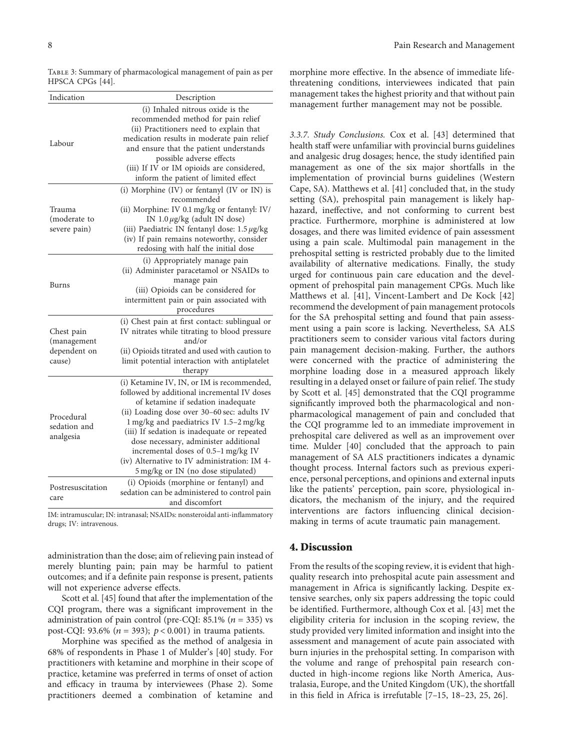<span id="page-8-0"></span>

|                  | Тавь 3: Summary of pharmacological management of pain as per |  |  |
|------------------|--------------------------------------------------------------|--|--|
| HPSCA CPGs [44]. |                                                              |  |  |

| Indication                                          | Description                                                                                                                                                                                                                                                                                                                                                                                                                                   |
|-----------------------------------------------------|-----------------------------------------------------------------------------------------------------------------------------------------------------------------------------------------------------------------------------------------------------------------------------------------------------------------------------------------------------------------------------------------------------------------------------------------------|
| Labour                                              | (i) Inhaled nitrous oxide is the<br>recommended method for pain relief<br>(ii) Practitioners need to explain that<br>medication results in moderate pain relief<br>and ensure that the patient understands<br>possible adverse effects<br>(iii) If IV or IM opioids are considered,<br>inform the patient of limited effect                                                                                                                   |
| Trauma<br>(moderate to<br>severe pain)              | (i) Morphine (IV) or fentanyl (IV or IN) is<br>recommended<br>(ii) Morphine: IV 0.1 mg/kg or fentanyl: IV/<br>IN $1.0 \mu g/kg$ (adult IN dose)<br>(iii) Paediatric IN fentanyl dose: $1.5 \mu g/kg$<br>(iv) If pain remains noteworthy, consider<br>redosing with half the initial dose                                                                                                                                                      |
| Burns                                               | (i) Appropriately manage pain<br>(ii) Administer paracetamol or NSAIDs to<br>manage pain<br>(iii) Opioids can be considered for<br>intermittent pain or pain associated with<br>procedures                                                                                                                                                                                                                                                    |
| Chest pain<br>(management<br>dependent on<br>cause) | (i) Chest pain at first contact: sublingual or<br>IV nitrates while titrating to blood pressure<br>and/or<br>(ii) Opioids titrated and used with caution to<br>limit potential interaction with antiplatelet<br>therapy                                                                                                                                                                                                                       |
| Procedural<br>sedation and<br>analgesia             | (i) Ketamine IV, IN, or IM is recommended,<br>followed by additional incremental IV doses<br>of ketamine if sedation inadequate<br>(ii) Loading dose over 30-60 sec: adults IV<br>1 mg/kg and paediatrics IV 1.5-2 mg/kg<br>(iii) If sedation is inadequate or repeated<br>dose necessary, administer additional<br>incremental doses of 0.5-1 mg/kg IV<br>(iv) Alternative to IV administration: IM 4-<br>5 mg/kg or IN (no dose stipulated) |
| Postresuscitation<br>care                           | (i) Opioids (morphine or fentanyl) and<br>sedation can be administered to control pain<br>and discomfort                                                                                                                                                                                                                                                                                                                                      |

IM: intramuscular; IN: intranasal; NSAIDs: nonsteroidal anti-inflammatory drugs; IV: intravenous.

administration than the dose; aim of relieving pain instead of merely blunting pain; pain may be harmful to patient outcomes; and if a definite pain response is present, patients will not experience adverse effects.

Scott et al. [\[45\]](#page-12-0) found that after the implementation of the CQI program, there was a significant improvement in the administration of pain control (pre-CQI:  $85.1\%$  ( $n = 335$ ) vs post-CQI: 93.6% (*n* � 393); *p* < 0*.*001) in trauma patients.

Morphine was specified as the method of analgesia in 68% of respondents in Phase 1 of Mulder's [[40](#page-12-0)] study. For practitioners with ketamine and morphine in their scope of practice, ketamine was preferred in terms of onset of action and efficacy in trauma by interviewees (Phase 2). Some practitioners deemed a combination of ketamine and

morphine more effective. In the absence of immediate lifethreatening conditions, interviewees indicated that pain management takes the highest priority and that without pain management further management may not be possible.

*3.3.7. Study Conclusions.* Cox et al. [\[43\]](#page-12-0) determined that health staff were unfamiliar with provincial burns guidelines and analgesic drug dosages; hence, the study identified pain management as one of the six major shortfalls in the implementation of provincial burns guidelines (Western Cape, SA). Matthews et al. [\[41](#page-12-0)] concluded that, in the study setting (SA), prehospital pain management is likely haphazard, ineffective, and not conforming to current best practice. Furthermore, morphine is administered at low dosages, and there was limited evidence of pain assessment using a pain scale. Multimodal pain management in the prehospital setting is restricted probably due to the limited availability of alternative medications. Finally, the study urged for continuous pain care education and the development of prehospital pain management CPGs. Much like Matthews et al. [\[41](#page-12-0)], Vincent-Lambert and De Kock [\[42\]](#page-12-0) recommend the development of pain management protocols for the SA prehospital setting and found that pain assessment using a pain score is lacking. Nevertheless, SA ALS practitioners seem to consider various vital factors during pain management decision-making. Further, the authors were concerned with the practice of administering the morphine loading dose in a measured approach likely resulting in a delayed onset or failure of pain relief. The study by Scott et al. [\[45\]](#page-12-0) demonstrated that the CQI programme significantly improved both the pharmacological and nonpharmacological management of pain and concluded that the CQI programme led to an immediate improvement in prehospital care delivered as well as an improvement over time. Mulder [[40](#page-12-0)] concluded that the approach to pain management of SA ALS practitioners indicates a dynamic thought process. Internal factors such as previous experience, personal perceptions, and opinions and external inputs like the patients' perception, pain score, physiological indicators, the mechanism of the injury, and the required interventions are factors influencing clinical decisionmaking in terms of acute traumatic pain management.

#### **4. Discussion**

From the results of the scoping review, it is evident that highquality research into prehospital acute pain assessment and management in Africa is significantly lacking. Despite extensive searches, only six papers addressing the topic could be identified. Furthermore, although Cox et al. [[43](#page-12-0)] met the eligibility criteria for inclusion in the scoping review, the study provided very limited information and insight into the assessment and management of acute pain associated with burn injuries in the prehospital setting. In comparison with the volume and range of prehospital pain research conducted in high-income regions like North America, Australasia, Europe, and the United Kingdom (UK), the shortfall in this field in Africa is irrefutable [[7–15, 18](#page-11-0)[–23, 25, 26](#page-12-0)].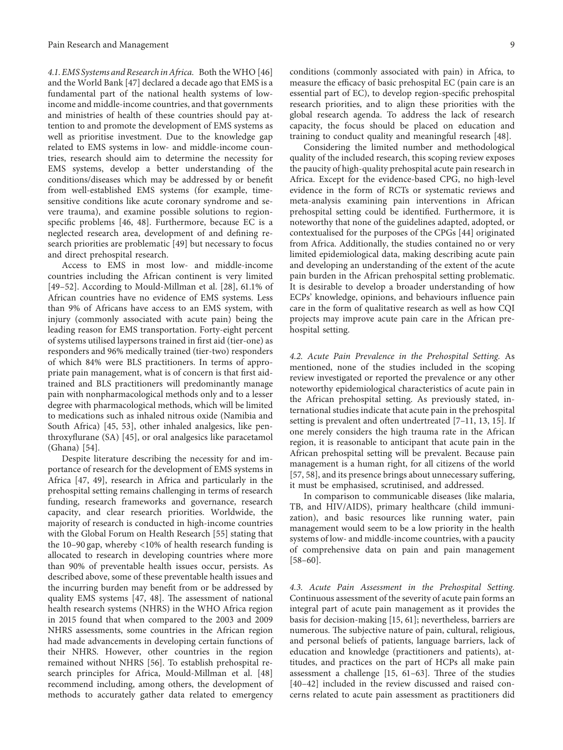*4.1. EMS Systems and Researchin Africa.* Both the WHO [\[46\]](#page-12-0) and the World Bank [[47](#page-12-0)] declared a decade ago that EMS is a fundamental part of the national health systems of lowincome and middle-income countries, and that governments and ministries of health of these countries should pay attention to and promote the development of EMS systems as well as prioritise investment. Due to the knowledge gap related to EMS systems in low- and middle-income countries, research should aim to determine the necessity for EMS systems, develop a better understanding of the conditions/diseases which may be addressed by or benefit from well-established EMS systems (for example, timesensitive conditions like acute coronary syndrome and severe trauma), and examine possible solutions to regionspecific problems [\[46, 48\]](#page-12-0). Furthermore, because EC is a neglected research area, development of and defining research priorities are problematic [\[49\]](#page-12-0) but necessary to focus and direct prehospital research.

Access to EMS in most low- and middle-income countries including the African continent is very limited [\[49–52\]](#page-12-0). According to Mould-Millman et al. [\[28\]](#page-12-0), 61.1% of African countries have no evidence of EMS systems. Less than 9% of Africans have access to an EMS system, with injury (commonly associated with acute pain) being the leading reason for EMS transportation. Forty-eight percent of systems utilised laypersons trained in first aid (tier-one) as responders and 96% medically trained (tier-two) responders of which 84% were BLS practitioners. In terms of appropriate pain management, what is of concern is that first aidtrained and BLS practitioners will predominantly manage pain with nonpharmacological methods only and to a lesser degree with pharmacological methods, which will be limited to medications such as inhaled nitrous oxide (Namibia and South Africa) [\[45, 53](#page-12-0)], other inhaled analgesics, like penthroxyflurane (SA) [\[45\]](#page-12-0), or oral analgesics like paracetamol (Ghana) [\[54\]](#page-13-0).

Despite literature describing the necessity for and importance of research for the development of EMS systems in Africa [\[47, 49\]](#page-12-0), research in Africa and particularly in the prehospital setting remains challenging in terms of research funding, research frameworks and governance, research capacity, and clear research priorities. Worldwide, the majority of research is conducted in high-income countries with the Global Forum on Health Research [\[55\]](#page-13-0) stating that the 10–90 gap, whereby <10% of health research funding is allocated to research in developing countries where more than 90% of preventable health issues occur, persists. As described above, some of these preventable health issues and the incurring burden may benefit from or be addressed by quality EMS systems [\[47, 48](#page-12-0)]. The assessment of national health research systems (NHRS) in the WHO Africa region in 2015 found that when compared to the 2003 and 2009 NHRS assessments, some countries in the African region had made advancements in developing certain functions of their NHRS. However, other countries in the region remained without NHRS [\[56\]](#page-13-0). To establish prehospital research principles for Africa, Mould-Millman et al. [\[48\]](#page-12-0) recommend including, among others, the development of methods to accurately gather data related to emergency

conditions (commonly associated with pain) in Africa, to measure the efficacy of basic prehospital EC (pain care is an essential part of EC), to develop region-specific prehospital research priorities, and to align these priorities with the global research agenda. To address the lack of research capacity, the focus should be placed on education and training to conduct quality and meaningful research [\[48\]](#page-12-0).

Considering the limited number and methodological quality of the included research, this scoping review exposes the paucity of high-quality prehospital acute pain research in Africa. Except for the evidence-based CPG, no high-level evidence in the form of RCTs or systematic reviews and meta-analysis examining pain interventions in African prehospital setting could be identified. Furthermore, it is noteworthy that none of the guidelines adapted, adopted, or contextualised for the purposes of the CPGs [\[44\]](#page-12-0) originated from Africa. Additionally, the studies contained no or very limited epidemiological data, making describing acute pain and developing an understanding of the extent of the acute pain burden in the African prehospital setting problematic. It is desirable to develop a broader understanding of how ECPs' knowledge, opinions, and behaviours influence pain care in the form of qualitative research as well as how CQI projects may improve acute pain care in the African prehospital setting.

*4.2. Acute Pain Prevalence in the Prehospital Setting.* As mentioned, none of the studies included in the scoping review investigated or reported the prevalence or any other noteworthy epidemiological characteristics of acute pain in the African prehospital setting. As previously stated, international studies indicate that acute pain in the prehospital setting is prevalent and often undertreated [\[7–11](#page-11-0), [13, 15](#page-11-0)]. If one merely considers the high trauma rate in the African region, it is reasonable to anticipant that acute pain in the African prehospital setting will be prevalent. Because pain management is a human right, for all citizens of the world [\[57, 58\]](#page-13-0), and its presence brings about unnecessary suffering, it must be emphasised, scrutinised, and addressed.

In comparison to communicable diseases (like malaria, TB, and HIV/AIDS), primary healthcare (child immunization), and basic resources like running water, pain management would seem to be a low priority in the health systems of low- and middle-income countries, with a paucity of comprehensive data on pain and pain management  $[58-60]$ .

*4.3. Acute Pain Assessment in the Prehospital Setting.* Continuous assessment of the severity of acute pain forms an integral part of acute pain management as it provides the basis for decision-making [\[15](#page-11-0), [61](#page-13-0)]; nevertheless, barriers are numerous. The subjective nature of pain, cultural, religious, and personal beliefs of patients, language barriers, lack of education and knowledge (practitioners and patients), attitudes, and practices on the part of HCPs all make pain assessment a challenge  $[15, 61-63]$  $[15, 61-63]$  $[15, 61-63]$ . Three of the studies [\[40–42\]](#page-12-0) included in the review discussed and raised concerns related to acute pain assessment as practitioners did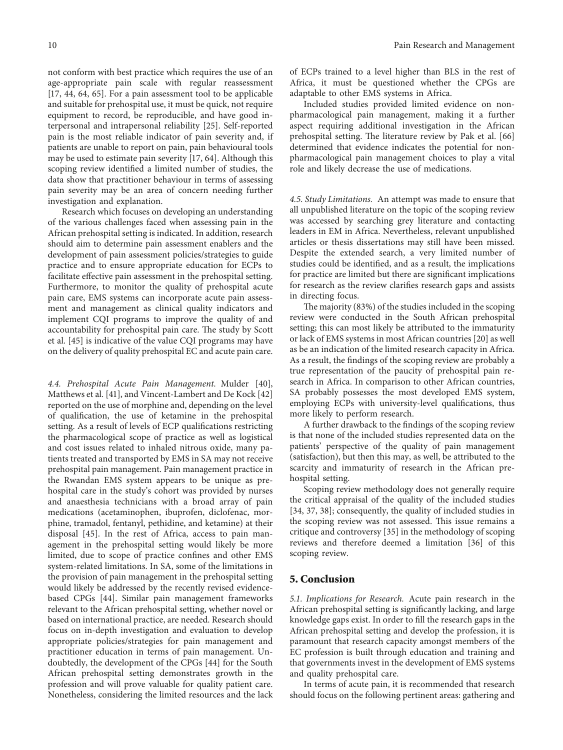not conform with best practice which requires the use of an age-appropriate pain scale with regular reassessment [\[17](#page-11-0), [44](#page-12-0), [64](#page-13-0), [65\]](#page-13-0). For a pain assessment tool to be applicable and suitable for prehospital use, it must be quick, not require equipment to record, be reproducible, and have good interpersonal and intrapersonal reliability [[25](#page-12-0)]. Self-reported pain is the most reliable indicator of pain severity and, if patients are unable to report on pain, pain behavioural tools may be used to estimate pain severity [[17,](#page-11-0) [64](#page-13-0)]. Although this scoping review identified a limited number of studies, the data show that practitioner behaviour in terms of assessing pain severity may be an area of concern needing further investigation and explanation.

Research which focuses on developing an understanding of the various challenges faced when assessing pain in the African prehospital setting is indicated. In addition, research should aim to determine pain assessment enablers and the development of pain assessment policies/strategies to guide practice and to ensure appropriate education for ECPs to facilitate effective pain assessment in the prehospital setting. Furthermore, to monitor the quality of prehospital acute pain care, EMS systems can incorporate acute pain assessment and management as clinical quality indicators and implement CQI programs to improve the quality of and accountability for prehospital pain care. The study by Scott et al. [\[45\]](#page-12-0) is indicative of the value CQI programs may have on the delivery of quality prehospital EC and acute pain care.

*4.4. Prehospital Acute Pain Management.* Mulder [[40](#page-12-0)], Matthews et al. [\[41](#page-12-0)], and Vincent-Lambert and De Kock [\[42\]](#page-12-0) reported on the use of morphine and, depending on the level of qualification, the use of ketamine in the prehospital setting. As a result of levels of ECP qualifications restricting the pharmacological scope of practice as well as logistical and cost issues related to inhaled nitrous oxide, many patients treated and transported by EMS in SA may not receive prehospital pain management. Pain management practice in the Rwandan EMS system appears to be unique as prehospital care in the study's cohort was provided by nurses and anaesthesia technicians with a broad array of pain medications (acetaminophen, ibuprofen, diclofenac, morphine, tramadol, fentanyl, pethidine, and ketamine) at their disposal [\[45\]](#page-12-0). In the rest of Africa, access to pain management in the prehospital setting would likely be more limited, due to scope of practice confines and other EMS system-related limitations. In SA, some of the limitations in the provision of pain management in the prehospital setting would likely be addressed by the recently revised evidencebased CPGs [[44](#page-12-0)]. Similar pain management frameworks relevant to the African prehospital setting, whether novel or based on international practice, are needed. Research should focus on in-depth investigation and evaluation to develop appropriate policies/strategies for pain management and practitioner education in terms of pain management. Undoubtedly, the development of the CPGs [[44\]](#page-12-0) for the South African prehospital setting demonstrates growth in the profession and will prove valuable for quality patient care. Nonetheless, considering the limited resources and the lack

of ECPs trained to a level higher than BLS in the rest of Africa, it must be questioned whether the CPGs are adaptable to other EMS systems in Africa.

Included studies provided limited evidence on nonpharmacological pain management, making it a further aspect requiring additional investigation in the African prehospital setting. The literature review by Pak et al. [\[66\]](#page-13-0) determined that evidence indicates the potential for nonpharmacological pain management choices to play a vital role and likely decrease the use of medications.

*4.5. Study Limitations.* An attempt was made to ensure that all unpublished literature on the topic of the scoping review was accessed by searching grey literature and contacting leaders in EM in Africa. Nevertheless, relevant unpublished articles or thesis dissertations may still have been missed. Despite the extended search, a very limited number of studies could be identified, and as a result, the implications for practice are limited but there are significant implications for research as the review clarifies research gaps and assists in directing focus.

The majority  $(83%)$  of the studies included in the scoping review were conducted in the South African prehospital setting; this can most likely be attributed to the immaturity or lack of EMS systems in most African countries [\[20\]](#page-11-0) as well as be an indication of the limited research capacity in Africa. As a result, the findings of the scoping review are probably a true representation of the paucity of prehospital pain research in Africa. In comparison to other African countries, SA probably possesses the most developed EMS system, employing ECPs with university-level qualifications, thus more likely to perform research.

A further drawback to the findings of the scoping review is that none of the included studies represented data on the patients' perspective of the quality of pain management (satisfaction), but then this may, as well, be attributed to the scarcity and immaturity of research in the African prehospital setting.

Scoping review methodology does not generally require the critical appraisal of the quality of the included studies [\[34, 37](#page-12-0), [38\]](#page-12-0); consequently, the quality of included studies in the scoping review was not assessed. This issue remains a critique and controversy [\[35\]](#page-12-0) in the methodology of scoping reviews and therefore deemed a limitation [\[36\]](#page-12-0) of this scoping review.

#### **5. Conclusion**

*5.1. Implications for Research.* Acute pain research in the African prehospital setting is significantly lacking, and large knowledge gaps exist. In order to fill the research gaps in the African prehospital setting and develop the profession, it is paramount that research capacity amongst members of the EC profession is built through education and training and that governments invest in the development of EMS systems and quality prehospital care.

In terms of acute pain, it is recommended that research should focus on the following pertinent areas: gathering and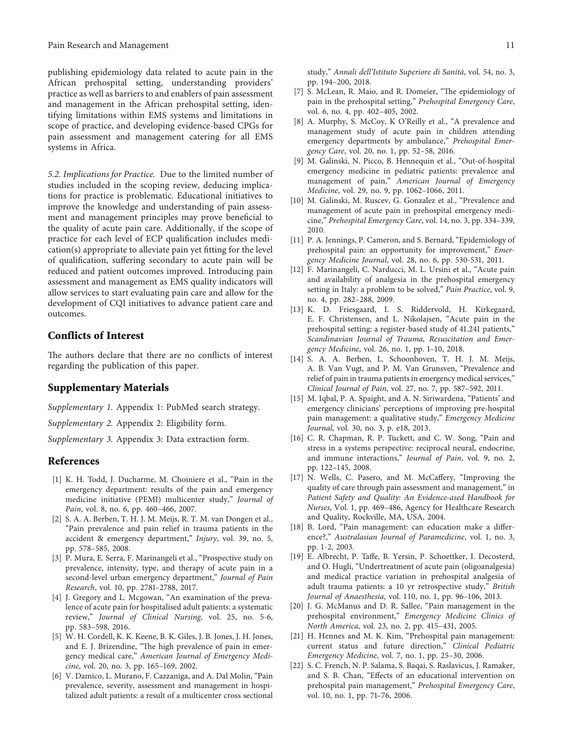<span id="page-11-0"></span>publishing epidemiology data related to acute pain in the African prehospital setting, understanding providers' practice as well as barriers to and enablers of pain assessment and management in the African prehospital setting, identifying limitations within EMS systems and limitations in scope of practice, and developing evidence-based CPGs for pain assessment and management catering for all EMS systems in Africa.

*5.2. Implications for Practice.* Due to the limited number of studies included in the scoping review, deducing implications for practice is problematic. Educational initiatives to improve the knowledge and understanding of pain assessment and management principles may prove beneficial to the quality of acute pain care. Additionally, if the scope of practice for each level of ECP qualification includes medication(s) appropriate to alleviate pain yet fitting for the level of qualification, suffering secondary to acute pain will be reduced and patient outcomes improved. Introducing pain assessment and management as EMS quality indicators will allow services to start evaluating pain care and allow for the development of CQI initiatives to advance patient care and outcomes.

#### **Conflicts of Interest**

The authors declare that there are no conflicts of interest regarding the publication of this paper.

#### **Supplementary Materials**

*[Supplementary 1.](http://downloads.hindawi.com/journals/prm/2019/2304507.f1.pdf)* Appendix 1: PubMed search strategy.

*[Supplementary 2.](http://downloads.hindawi.com/journals/prm/2019/2304507.f2.pdf)* Appendix 2: Eligibility form.

*[Supplementary 3.](http://downloads.hindawi.com/journals/prm/2019/2304507.f3.pdf)* Appendix 3: Data extraction form.

#### **References**

- [1] K. H. Todd, J. Ducharme, M. Choiniere et al., "Pain in the emergency department: results of the pain and emergency medicine initiative (PEMI) multicenter study," *Journal of Pain*, vol. 8, no. 6, pp. 460–466, 2007.
- [2] S. A. A. Berben, T. H. J. M. Meijs, R. T. M. van Dongen et al., "Pain prevalence and pain relief in trauma patients in the accident & emergency department," *Injury*, vol. 39, no. 5, pp. 578–585, 2008.
- [3] P. Mura, E. Serra, F. Marinangeli et al., "Prospective study on prevalence, intensity, type, and therapy of acute pain in a second-level urban emergency department," *Journal of Pain Research*, vol. 10, pp. 2781–2788, 2017.
- [4] J. Gregory and L. Mcgowan, "An examination of the prevalence of acute pain for hospitalised adult patients: a systematic review," *Journal of Clinical Nursing*, vol. 25, no. 5-6, pp. 583–598, 2016.
- [5] W. H. Cordell, K. K. Keene, B. K. Giles, J. B. Jones, J. H. Jones, and E. J. Brizendine, "The high prevalence of pain in emergency medical care," *American Journal of Emergency Medicine*, vol. 20, no. 3, pp. 165–169, 2002.
- [6] V. Damico, L. Murano, F. Cazzaniga, and A. Dal Molin, "Pain prevalence, severity, assessment and management in hospitalized adult patients: a result of a multicenter cross sectional
- [7] S. McLean, R. Maio, and R. Domeier, "The epidemiology of pain in the prehospital setting," *Prehospital Emergency Care*, vol. 6, no. 4, pp. 402–405, 2002.
- [8] A. Murphy, S. McCoy, K O'Reilly et al., "A prevalence and management study of acute pain in children attending emergency departments by ambulance," *Prehospital Emergency Care*, vol. 20, no. 1, pp. 52–58, 2016.
- [9] M. Galinski, N. Picco, B. Hennequin et al., "Out-of-hospital emergency medicine in pediatric patients: prevalence and management of pain," *American Journal of Emergency Medicine*, vol. 29, no. 9, pp. 1062–1066, 2011.
- [10] M. Galinski, M. Ruscev, G. Gonzalez et al., "Prevalence and management of acute pain in prehospital emergency medicine," *Prehospital Emergency Care*, vol. 14, no. 3, pp. 334–339, 2010.
- [11] P. A. Jennings, P. Cameron, and S. Bernard, "Epidemiology of prehospital pain: an opportunity for improvement," *Emergency Medicine Journal*, vol. 28, no. 6, pp. 530-531, 2011.
- [12] F. Marinangeli, C. Narducci, M. L. Ursini et al., "Acute pain and availability of analgesia in the prehospital emergency setting in Italy: a problem to be solved," *Pain Practice*, vol. 9, no. 4, pp. 282–288, 2009.
- [13] K. D. Friesgaard, I. S. Riddervold, H. Kirkegaard, E. F. Christensen, and L. Nikolajsen, "Acute pain in the prehospital setting: a register-based study of 41.241 patients," *Scandinavian Journal of Trauma, Resuscitation and Emergency Medicine*, vol. 26, no. 1, pp. 1–10, 2018.
- [14] S. A. A. Berben, L. Schoonhoven, T. H. J. M. Meijs, A. B. Van Vugt, and P. M. Van Grunsven, "Prevalence and relief of pain in trauma patients in emergency medical services," *Clinical Journal of Pain*, vol. 27, no. 7, pp. 587–592, 2011.
- [15] M. Iqbal, P. A. Spaight, and A. N. Siriwardena, "Patients' and emergency clinicians' perceptions of improving pre-hospital pain management: a qualitative study," *Emergency Medicine Journal*, vol. 30, no. 3, p. e18, 2013.
- [16] C. R. Chapman, R. P. Tuckett, and C. W. Song, "Pain and stress in a systems perspective: reciprocal neural, endocrine, and immune interactions," *Journal of Pain*, vol. 9, no. 2, pp. 122–145, 2008.
- [17] N. Wells, C. Pasero, and M. McCaffery, "Improving the quality of care through pain assessment and management," in *Patient Safety and Quality: An Evidence-ased Handbook for Nurses*, Vol. 1, pp. 469–486, Agency for Healthcare Research and Quality, Rockville, MA, USA, 2004.
- [18] B. Lord, "Pain management: can education make a difference?," *Australasian Journal of Paramedicine*, vol. 1, no. 3, pp. 1-2, 2003.
- [19] E. Albrecht, P. Taffe, B. Yersin, P. Schoettker, I. Decosterd, and O. Hugli, "Undertreatment of acute pain (oligoanalgesia) and medical practice variation in prehospital analgesia of adult trauma patients: a 10 yr retrospective study," *British Journal of Anaesthesia*, vol. 110, no. 1, pp. 96–106, 2013.
- [20] J. G. McManus and D. R. Sallee, "Pain management in the prehospital environment," *Emergency Medicine Clinics of North America*, vol. 23, no. 2, pp. 415–431, 2005.
- [21] H. Hennes and M. K. Kim, "Prehospital pain management: current status and future direction," *Clinical Pediatric Emergency Medicine*, vol. 7, no. 1, pp. 25–30, 2006.
- [22] S. C. French, N. P. Salama, S. Baqai, S. Raslavicus, J. Ramaker, and S. B. Chan, "Effects of an educational intervention on prehospital pain management," *Prehospital Emergency Care*, vol. 10, no. 1, pp. 71–76, 2006.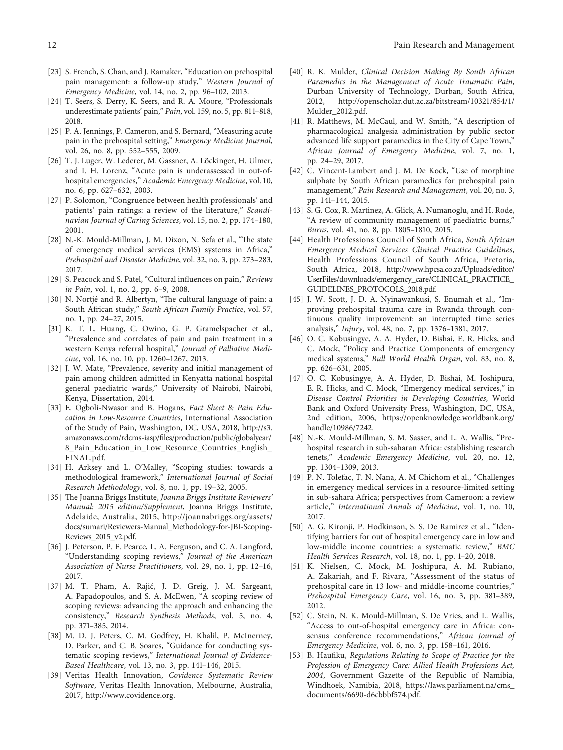- <span id="page-12-0"></span>[23] S. French, S. Chan, and J. Ramaker, "Education on prehospital pain management: a follow-up study," *Western Journal of Emergency Medicine*, vol. 14, no. 2, pp. 96–102, 2013.
- [24] T. Seers, S. Derry, K. Seers, and R. A. Moore, "Professionals underestimate patients' pain," *Pain*, vol. 159, no. 5, pp. 811–818, 2018.
- [25] P. A. Jennings, P. Cameron, and S. Bernard, "Measuring acute pain in the prehospital setting," *Emergency Medicine Journal*, vol. 26, no. 8, pp. 552–555, 2009.
- [26] T. J. Luger, W. Lederer, M. Gassner, A. Löckinger, H. Ulmer, and I. H. Lorenz, "Acute pain is underassessed in out-ofhospital emergencies," *Academic Emergency Medicine*, vol. 10, no. 6, pp. 627–632, 2003.
- [27] P. Solomon, "Congruence between health professionals' and patients' pain ratings: a review of the literature," *Scandinavian Journal of Caring Sciences*, vol. 15, no. 2, pp. 174–180, 2001.
- [28] N.-K. Mould-Millman, J. M. Dixon, N. Sefa et al., "The state of emergency medical services (EMS) systems in Africa," *Prehospital and Disaster Medicine*, vol. 32, no. 3, pp. 273–283, 2017.
- [29] S. Peacock and S. Patel, "Cultural influences on pain," *Reviews in Pain*, vol. 1, no. 2, pp. 6–9, 2008.
- [30] N. Nortjé and R. Albertyn, "The cultural language of pain: a South African study," *South African Family Practice*, vol. 57, no. 1, pp. 24–27, 2015.
- [31] K. T. L. Huang, C. Owino, G. P. Gramelspacher et al., "Prevalence and correlates of pain and pain treatment in a western Kenya referral hospital," *Journal of Palliative Medicine*, vol. 16, no. 10, pp. 1260–1267, 2013.
- [32] J. W. Mate, "Prevalence, severity and initial management of pain among children admitted in Kenyatta national hospital general paediatric wards," University of Nairobi, Nairobi, Kenya, Dissertation, 2014.
- [33] E. Ogboli-Nwasor and B. Hogans, *Fact Sheet 8: Pain Education in Low-Resource Countries*, International Association of the Study of Pain, Washington, DC, USA, 2018, [http://s3.](http://s3.amazonaws.com/rdcms-iasp/files/production/public/globalyear/8_Pain_Education_in_Low_Resource_Countries_English_FINAL.pdf) [amazonaws.com/rdcms-iasp/files/production/public/globalyear/](http://s3.amazonaws.com/rdcms-iasp/files/production/public/globalyear/8_Pain_Education_in_Low_Resource_Countries_English_FINAL.pdf) [8\\_Pain\\_Education\\_in\\_Low\\_Resource\\_Countries\\_English\\_](http://s3.amazonaws.com/rdcms-iasp/files/production/public/globalyear/8_Pain_Education_in_Low_Resource_Countries_English_FINAL.pdf) [FINAL.pdf.](http://s3.amazonaws.com/rdcms-iasp/files/production/public/globalyear/8_Pain_Education_in_Low_Resource_Countries_English_FINAL.pdf)
- [34] H. Arksey and L. O'Malley, "Scoping studies: towards a methodological framework," *International Journal of Social Research Methodology*, vol. 8, no. 1, pp. 19–32, 2005.
- [35] The Joanna Briggs Institute, *Joanna Briggs Institute Reviewers' Manual: 2015 edition/Supplement*, Joanna Briggs Institute, Adelaide, Australia, 2015, [http://joannabriggs.org/assets/](http://joannabriggs.org/assets/docs/sumari/Reviewers-Manual_Methodology-for-JBI-Scoping-Reviews_2015_v2.pdf) [docs/sumari/Reviewers-Manual\\_Methodology-for-JBI-Scoping-](http://joannabriggs.org/assets/docs/sumari/Reviewers-Manual_Methodology-for-JBI-Scoping-Reviews_2015_v2.pdf)[Reviews\\_2015\\_v2.pdf.](http://joannabriggs.org/assets/docs/sumari/Reviewers-Manual_Methodology-for-JBI-Scoping-Reviews_2015_v2.pdf)
- [36] J. Peterson, P. F. Pearce, L. A. Ferguson, and C. A. Langford, "Understanding scoping reviews," *Journal of the American Association of Nurse Practitioners*, vol. 29, no. 1, pp. 12–16, 2017.
- [37] M. T. Pham, A. Rajić, J. D. Greig, J. M. Sargeant, A. Papadopoulos, and S. A. McEwen, "A scoping review of scoping reviews: advancing the approach and enhancing the consistency," *Research Synthesis Methods*, vol. 5, no. 4, pp. 371–385, 2014.
- [38] M. D. J. Peters, C. M. Godfrey, H. Khalil, P. McInerney, D. Parker, and C. B. Soares, "Guidance for conducting systematic scoping reviews," *International Journal of Evidence-Based Healthcare*, vol. 13, no. 3, pp. 141–146, 2015.
- [39] Veritas Health Innovation, *Covidence Systematic Review Software*, Veritas Health Innovation, Melbourne, Australia, 2017,<http://www.covidence.org>.
- [40] R. K. Mulder, *Clinical Decision Making By South African Paramedics in the Management of Acute Traumatic Pain*, Durban University of Technology, Durban, South Africa, 2012, [http://openscholar.dut.ac.za/bitstream/10321/854/1/](http://openscholar.dut.ac.za/bitstream/10321/854/1/Mulder_2012.pdf) [Mulder\\_2012.pdf](http://openscholar.dut.ac.za/bitstream/10321/854/1/Mulder_2012.pdf).
- [41] R. Matthews, M. McCaul, and W. Smith, "A description of pharmacological analgesia administration by public sector advanced life support paramedics in the City of Cape Town," *African Journal of Emergency Medicine*, vol. 7, no. 1, pp. 24–29, 2017.
- [42] C. Vincent-Lambert and J. M. De Kock, "Use of morphine sulphate by South African paramedics for prehospital pain management," *Pain Research and Management*, vol. 20, no. 3, pp. 141–144, 2015.
- [43] S. G. Cox, R. Martinez, A. Glick, A. Numanoglu, and H. Rode, "A review of community management of paediatric burns," *Burns*, vol. 41, no. 8, pp. 1805–1810, 2015.
- [44] Health Professions Council of South Africa, *South African Emergency Medical Services Clinical Practice Guidelines*, Health Professions Council of South Africa, Pretoria, South Africa, 2018, [http://www.hpcsa.co.za/Uploads/editor/](http://www.hpcsa.co.za/Uploads/editor/UserFiles/downloads/emergency_care/CLINICAL_PRACTICE_GUIDELINES_PROTOCOLS_2018.pdf) [UserFiles/downloads/emergency\\_care/CLINICAL\\_PRACTICE\\_](http://www.hpcsa.co.za/Uploads/editor/UserFiles/downloads/emergency_care/CLINICAL_PRACTICE_GUIDELINES_PROTOCOLS_2018.pdf) [GUIDELINES\\_PROTOCOLS\\_2018.pdf](http://www.hpcsa.co.za/Uploads/editor/UserFiles/downloads/emergency_care/CLINICAL_PRACTICE_GUIDELINES_PROTOCOLS_2018.pdf).
- [45] J. W. Scott, J. D. A. Nyinawankusi, S. Enumah et al., "Improving prehospital trauma care in Rwanda through continuous quality improvement: an interrupted time series analysis," *Injury*, vol. 48, no. 7, pp. 1376–1381, 2017.
- [46] O. C. Kobusingye, A. A. Hyder, D. Bishai, E. R. Hicks, and C. Mock, "Policy and Practice Components of emergency medical systems," *Bull World Health Organ*, vol. 83, no. 8, pp. 626–631, 2005.
- [47] O. C. Kobusingye, A. A. Hyder, D. Bishai, M. Joshipura, E. R. Hicks, and C. Mock, "Emergency medical services," in *Disease Control Priorities in Developing Countries*, World Bank and Oxford University Press, Washington, DC, USA, 2nd edition, 2006, [https://openknowledge.worldbank.org/](https://openknowledge.worldbank.org/handle/10986/7242) [handle/10986/7242.](https://openknowledge.worldbank.org/handle/10986/7242)
- [48] N.-K. Mould-Millman, S. M. Sasser, and L. A. Wallis, "Prehospital research in sub-saharan Africa: establishing research tenets," *Academic Emergency Medicine*, vol. 20, no. 12, pp. 1304–1309, 2013.
- [49] P. N. Tolefac, T. N. Nana, A. M Chichom et al., "Challenges in emergency medical services in a resource-limited setting in sub-sahara Africa; perspectives from Cameroon: a review article," *International Annals of Medicine*, vol. 1, no. 10, 2017.
- [50] A. G. Kironji, P. Hodkinson, S. S. De Ramirez et al., "Identifying barriers for out of hospital emergency care in low and low-middle income countries: a systematic review," *BMC Health Services Research*, vol. 18, no. 1, pp. 1–20, 2018.
- [51] K. Nielsen, C. Mock, M. Joshipura, A. M. Rubiano, A. Zakariah, and F. Rivara, "Assessment of the status of prehospital care in 13 low- and middle-income countries," *Prehospital Emergency Care*, vol. 16, no. 3, pp. 381–389, 2012.
- [52] C. Stein, N. K. Mould-Millman, S. De Vries, and L. Wallis, "Access to out-of-hospital emergency care in Africa: consensus conference recommendations," *African Journal of Emergency Medicine*, vol. 6, no. 3, pp. 158–161, 2016.
- [53] B. Haufiku, *Regulations Relating to Scope of Practice for the Profession of Emergency Care: Allied Health Professions Act, 2004*, Government Gazette of the Republic of Namibia, Windhoek, Namibia, 2018, [https://laws.parliament.na/cms\\_](https://laws.parliament.na/cms_documents/6690-d6cbbbf574.pdf) [documents/6690-d6cbbbf574.pdf](https://laws.parliament.na/cms_documents/6690-d6cbbbf574.pdf).